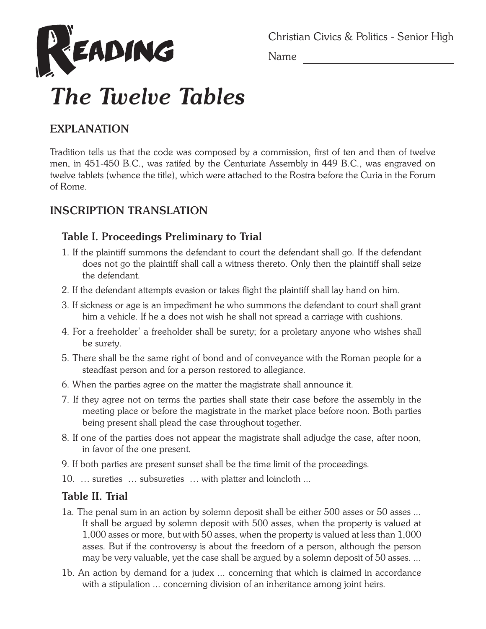

Christian Civics & Politics - Senior High

Name

# *The Twelve Tables*

## **EXPLANATION**

Tradition tells us that the code was composed by a commission, first of ten and then of twelve men, in 451-450 B.C., was ratifed by the Centuriate Assembly in 449 B.C., was engraved on twelve tablets (whence the title), which were attached to the Rostra before the Curia in the Forum of Rome.

## **INSCRIPTION TRANSLATION**

## **Table I. Proceedings Preliminary to Trial**

- 1. If the plaintiff summons the defendant to court the defendant shall go. If the defendant does not go the plaintiff shall call a witness thereto. Only then the plaintiff shall seize the defendant.
- 2. If the defendant attempts evasion or takes flight the plaintiff shall lay hand on him.
- 3. If sickness or age is an impediment he who summons the defendant to court shall grant him a vehicle. If he a does not wish he shall not spread a carriage with cushions.
- 4. For a freeholder' a freeholder shall be surety; for a proletary anyone who wishes shall be surety.
- 5. There shall be the same right of bond and of conveyance with the Roman people for a steadfast person and for a person restored to allegiance.
- 6. When the parties agree on the matter the magistrate shall announce it.
- 7. If they agree not on terms the parties shall state their case before the assembly in the meeting place or before the magistrate in the market place before noon. Both parties being present shall plead the case throughout together.
- 8. If one of the parties does not appear the magistrate shall adjudge the case, after noon, in favor of the one present.
- 9. If both parties are present sunset shall be the time limit of the proceedings.
- 10.  $\hat{A}$ . sureties  $\hat{A}$ . subsureties  $\hat{A}$ . with platter and loincloth ...

## **Table II. Trial**

- 1a. The penal sum in an action by solemn deposit shall be either 500 asses or 50 asses ... It shall be argued by solemn deposit with 500 asses, when the property is valued at 1,000 asses or more, but with 50 asses, when the property is valued at less than 1,000 asses. But if the controversy is about the freedom of a person, although the person may be very valuable, yet the case shall be argued by a solemn deposit of 50 asses. ...
- 1b. An action by demand for a judex ... concerning that which is claimed in accordance with a stipulation ... concerning division of an inheritance among joint heirs.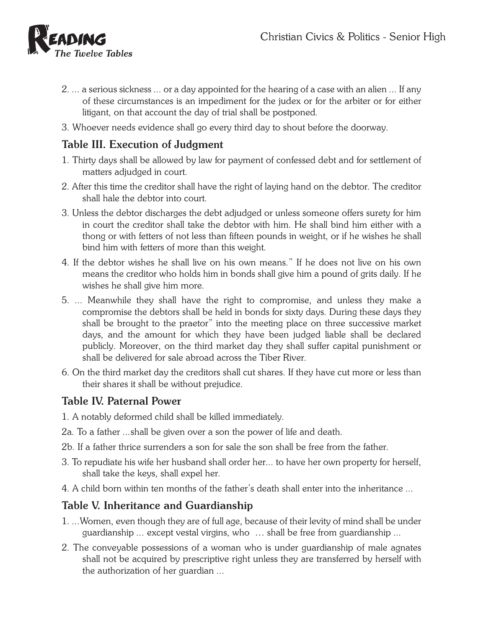

- 2. ... a serious sickness ... or a day appointed for the hearing of a case with an alien ... If any of these circumstances is an impediment for the judex or for the arbiter or for either litigant, on that account the day of trial shall be postponed.
- 3. Whoever needs evidence shall go every third day to shout before the doorway.

#### **Table III. Execution of Judgment**

- 1. Thirty days shall be allowed by law for payment of confessed debt and for settlement of matters adjudged in court.
- 2. After this time the creditor shall have the right of laying hand on the debtor. The creditor shall hale the debtor into court.
- 3. Unless the debtor discharges the debt adjudged or unless someone offers surety for him in court the creditor shall take the debtor with him. He shall bind him either with a thong or with fetters of not less than fifteen pounds in weight, or if he wishes he shall bind him with fetters of more than this weight.
- 4. If the debtor wishes he shall live on his own means." If he does not live on his own means the creditor who holds him in bonds shall give him a pound of grits daily. If he wishes he shall give him more.
- 5. ... Meanwhile they shall have the right to compromise, and unless they make a compromise the debtors shall be held in bonds for sixty days. During these days they shall be brought to the praetor" into the meeting place on three successive market days, and the amount for which they have been judged liable shall be declared publicly. Moreover, on the third market day they shall suffer capital punishment or shall be delivered for sale abroad across the Tiber River.
- 6. On the third market day the creditors shall cut shares. If they have cut more or less than their shares it shall be without prejudice.

## **Table IV. Paternal Power**

- 1. A notably deformed child shall be killed immediately.
- 2a. To a father ...shall be given over a son the power of life and death.
- 2b. If a father thrice surrenders a son for sale the son shall be free from the father.
- 3. To repudiate his wife her husband shall order her... to have her own property for herself, shall take the keys, shall expel her.
- 4. A child born within ten months of the father's death shall enter into the inheritance ...

## **Table V. Inheritance and Guardianship**

- 1. ...Women, even though they are of full age, because of their levity of mind shall be under guardianship ... except vestal virgins, who  $\rm \AA$  . shall be free from guardianship ...
- 2. The conveyable possessions of a woman who is under guardianship of male agnates shall not be acquired by prescriptive right unless they are transferred by herself with the authorization of her guardian ...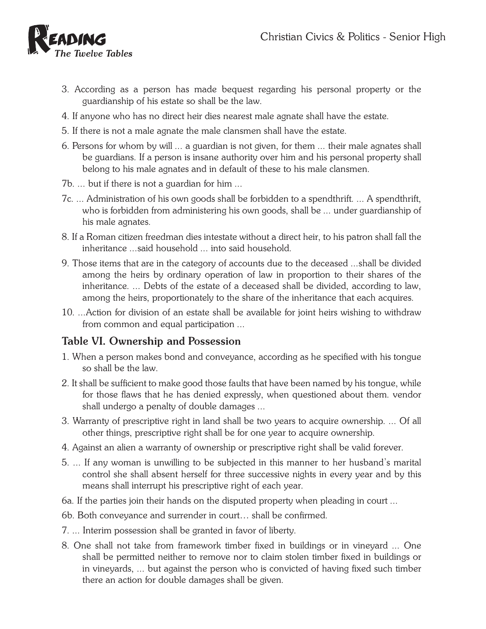

- 3. According as a person has made bequest regarding his personal property or the guardianship of his estate so shall be the law.
- 4. If anyone who has no direct heir dies nearest male agnate shall have the estate.
- 5. If there is not a male agnate the male clansmen shall have the estate.
- 6. Persons for whom by will ... a guardian is not given, for them ... their male agnates shall be guardians. If a person is insane authority over him and his personal property shall belong to his male agnates and in default of these to his male clansmen.
- 7b. ... but if there is not a guardian for him ...
- 7c. ... Administration of his own goods shall be forbidden to a spendthrift. ... A spendthrift, who is forbidden from administering his own goods, shall be ... under guardianship of his male agnates.
- 8. If a Roman citizen freedman dies intestate without a direct heir, to his patron shall fall the inheritance ...said household ... into said household.
- 9. Those items that are in the category of accounts due to the deceased ...shall be divided among the heirs by ordinary operation of law in proportion to their shares of the inheritance. ... Debts of the estate of a deceased shall be divided, according to law, among the heirs, proportionately to the share of the inheritance that each acquires.
- 10. ...Action for division of an estate shall be available for joint heirs wishing to withdraw from common and equal participation ...

#### **Table VI. Ownership and Possession**

- 1. When a person makes bond and conveyance, according as he specified with his tongue so shall be the law.
- 2. It shall be sufficient to make good those faults that have been named by his tongue, while for those flaws that he has denied expressly, when questioned about them. vendor shall undergo a penalty of double damages ...
- 3. Warranty of prescriptive right in land shall be two years to acquire ownership. ... Of all other things, prescriptive right shall be for one year to acquire ownership.
- 4. Against an alien a warranty of ownership or prescriptive right shall be valid forever.
- 5. ... If any woman is unwilling to be subjected in this manner to her husband's marital control she shall absent herself for three successive nights in every year and by this means shall interrupt his prescriptive right of each year.
- 6a. If the parties join their hands on the disputed property when pleading in court ...
- 6b. Both conveyance and surrender in court… shall be confirmed.
- 7. ... Interim possession shall be granted in favor of liberty.
- 8. One shall not take from framework timber fixed in buildings or in vineyard ... One shall be permitted neither to remove nor to claim stolen timber fixed in buildings or in vineyards, ... but against the person who is convicted of having fixed such timber there an action for double damages shall be given.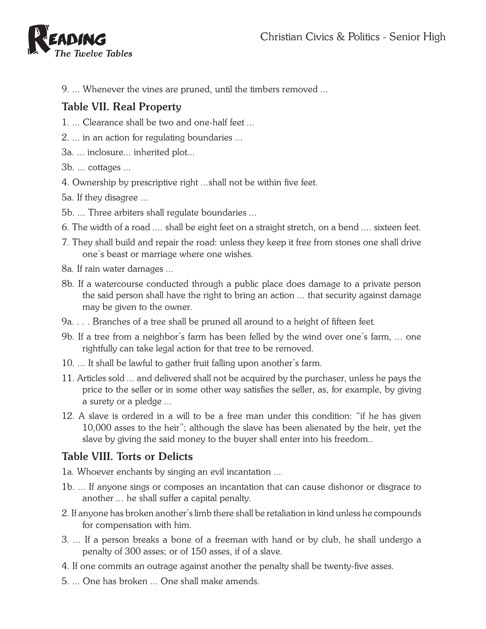

9. ... Whenever the vines are pruned, until the timbers removed ...

## **Table VII. Real Property**

- 1. ... Clearance shall be two and one-half feet ...
- 2. ... in an action for regulating boundaries ...
- 3a. ... inclosure... inherited plot...
- 3b. ... cottages ...
- 4. Ownership by prescriptive right ...shall not be within five feet.
- 5a. If they disagree ...
- 5b. ... Three arbiters shall regulate boundaries ...
- 6. The width of a road .... shall be eight feet on a straight stretch, on a bend .... sixteen feet.
- 7. They shall build and repair the road: unless they keep it free from stones one shall drive one's beast or marriage where one wishes.
- 8a. If rain water damages ...
- 8b. If a watercourse conducted through a public place does damage to a private person the said person shall have the right to bring an action ... that security against damage may be given to the owner.
- 9a. . . . Branches of a tree shall be pruned all around to a height of fifteen feet.
- 9b. If a tree from a neighbor's farm has been felled by the wind over one's farm, ... one rightfully can take legal action for that tree to be removed.
- 10. ... It shall be lawful to gather fruit falling upon another's farm.
- 11. Articles sold ... and delivered shall not be acquired by the purchaser, unless he pays the price to the seller or in some other way satisfies the seller, as, for example, by giving a surety or a pledge ...
- 12. A slave is ordered in a will to be a free man under this condition: "if he has given 10,000 asses to the heir"; although the slave has been alienated by the heir, yet the slave by giving the said money to the buyer shall enter into his freedom..

# **Table VIII. Torts or Delicts**

- 1a. Whoever enchants by singing an evil incantation ...
- 1b. ... If anyone sings or composes an incantation that can cause dishonor or disgrace to another ... he shall suffer a capital penalty.
- 2. If anyone has broken another's limb there shall be retaliation in kind unless he compounds for compensation with him.
- 3. ... If a person breaks a bone of a freeman with hand or by club, he shall undergo a penalty of 300 asses; or of 150 asses, if of a slave.
- 4. If one commits an outrage against another the penalty shall be twenty-five asses.
- 5. ... One has broken ... One shall make amends.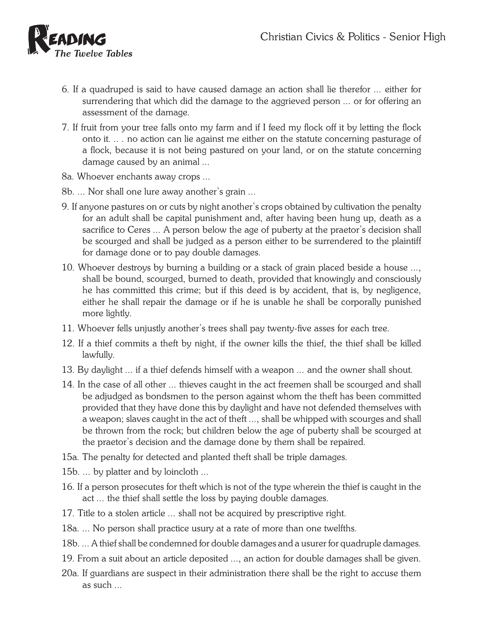

- 6. If a quadruped is said to have caused damage an action shall lie therefor ... either for surrendering that which did the damage to the aggrieved person ... or for offering an assessment of the damage.
- 7. If fruit from your tree falls onto my farm and if I feed my flock off it by letting the flock onto it. .. . no action can lie against me either on the statute concerning pasturage of a flock, because it is not being pastured on your land, or on the statute concerning damage caused by an animal ...
- 8a. Whoever enchants away crops ...
- 8b. ... Nor shall one lure away another's grain ...
- 9. If anyone pastures on or cuts by night another's crops obtained by cultivation the penalty for an adult shall be capital punishment and, after having been hung up, death as a sacrifice to Ceres ... A person below the age of puberty at the praetor's decision shall be scourged and shall be judged as a person either to be surrendered to the plaintiff for damage done or to pay double damages.
- 10. Whoever destroys by burning a building or a stack of grain placed beside a house ..., shall be bound, scourged, burned to death, provided that knowingly and consciously he has committed this crime; but if this deed is by accident, that is, by negligence, either he shall repair the damage or if he is unable he shall be corporally punished more lightly.
- 11. Whoever fells unjustly another's trees shall pay twenty-five asses for each tree.
- 12. If a thief commits a theft by night, if the owner kills the thief, the thief shall be killed lawfully.
- 13. By daylight ... if a thief defends himself with a weapon ... and the owner shall shout.
- 14. In the case of all other ... thieves caught in the act freemen shall be scourged and shall be adjudged as bondsmen to the person against whom the theft has been committed provided that they have done this by daylight and have not defended themselves with a weapon; slaves caught in the act of theft ..., shall be whipped with scourges and shall be thrown from the rock; but children below the age of puberty shall be scourged at the praetor's decision and the damage done by them shall be repaired.
- 15a. The penalty for detected and planted theft shall be triple damages.
- 15b. ... by platter and by loincloth ...
- 16. If a person prosecutes for theft which is not of the type wherein the thief is caught in the act ... the thief shall settle the loss by paying double damages.
- 17. Title to a stolen article ... shall not be acquired by prescriptive right.
- 18a. ... No person shall practice usury at a rate of more than one twelfths.
- 18b. ... A thief shall be condemned for double damages and a usurer for quadruple damages.
- 19. From a suit about an article deposited ..., an action for double damages shall be given.
- 20a. If guardians are suspect in their administration there shall be the right to accuse them as such ...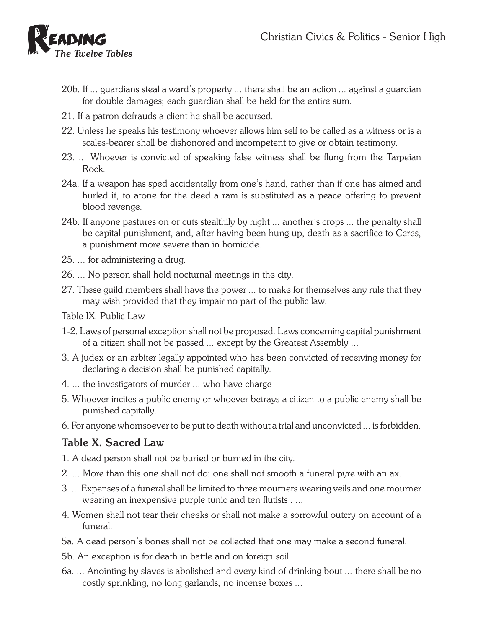

- 20b. If ... guardians steal a ward's property ... there shall be an action ... against a guardian for double damages; each guardian shall be held for the entire sum.
- 21. If a patron defrauds a client he shall be accursed.
- 22. Unless he speaks his testimony whoever allows him self to be called as a witness or is a scales-bearer shall be dishonored and incompetent to give or obtain testimony.
- 23. ... Whoever is convicted of speaking false witness shall be flung from the Tarpeian Rock.
- 24a. If a weapon has sped accidentally from one's hand, rather than if one has aimed and hurled it, to atone for the deed a ram is substituted as a peace offering to prevent blood revenge.
- 24b. If anyone pastures on or cuts stealthily by night ... another's crops ... the penalty shall be capital punishment, and, after having been hung up, death as a sacrifice to Ceres, a punishment more severe than in homicide.
- 25. ... for administering a drug.
- 26. ... No person shall hold nocturnal meetings in the city.
- 27. These guild members shall have the power ... to make for themselves any rule that they may wish provided that they impair no part of the public law.
- Table IX. Public Law
- 1-2. Laws of personal exception shall not be proposed. Laws concerning capital punishment of a citizen shall not be passed ... except by the Greatest Assembly ...
- 3. A judex or an arbiter legally appointed who has been convicted of receiving money for declaring a decision shall be punished capitally.
- 4. ... the investigators of murder ... who have charge
- 5. Whoever incites a public enemy or whoever betrays a citizen to a public enemy shall be punished capitally.
- 6. For anyone whomsoever to be put to death without a trial and unconvicted ... is forbidden.

## **Table X. Sacred Law**

- 1. A dead person shall not be buried or burned in the city.
- 2. ... More than this one shall not do: one shall not smooth a funeral pyre with an ax.
- 3. ... Expenses of a funeral shall be limited to three mourners wearing veils and one mourner wearing an inexpensive purple tunic and ten flutists . ...
- 4. Women shall not tear their cheeks or shall not make a sorrowful outcry on account of a funeral.
- 5a. A dead person's bones shall not be collected that one may make a second funeral.
- 5b. An exception is for death in battle and on foreign soil.
- 6a. ... Anointing by slaves is abolished and every kind of drinking bout ... there shall be no costly sprinkling, no long garlands, no incense boxes ...